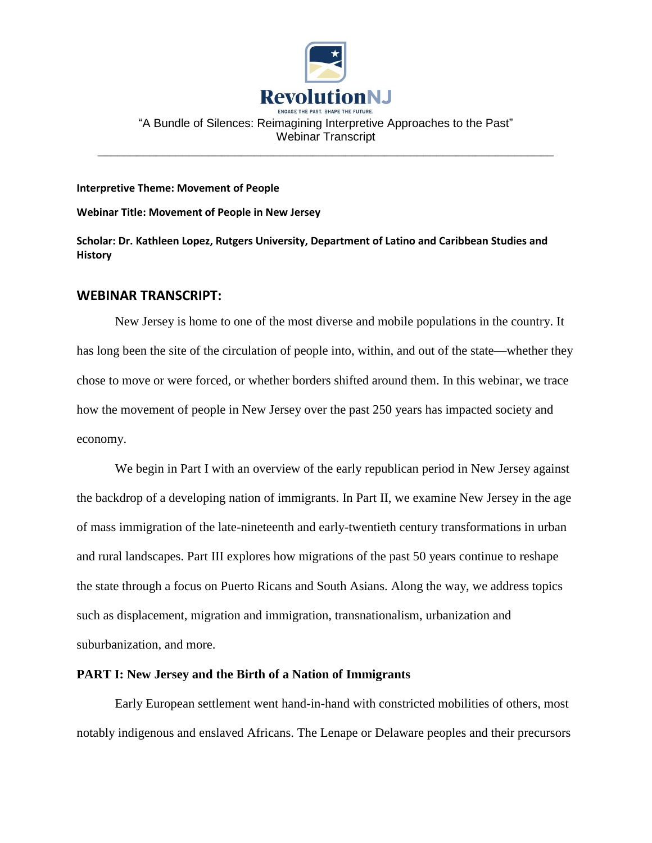

\_\_\_\_\_\_\_\_\_\_\_\_\_\_\_\_\_\_\_\_\_\_\_\_\_\_\_\_\_\_\_\_\_\_\_\_\_\_\_\_\_\_\_\_\_\_\_\_\_\_\_\_\_\_\_\_\_\_\_\_\_\_\_\_\_\_\_\_\_\_

#### **Interpretive Theme: Movement of People**

**Webinar Title: Movement of People in New Jersey**

**Scholar: Dr. Kathleen Lopez, Rutgers University, Department of Latino and Caribbean Studies and History**

# **WEBINAR TRANSCRIPT:**

New Jersey is home to one of the most diverse and mobile populations in the country. It has long been the site of the circulation of people into, within, and out of the state—whether they chose to move or were forced, or whether borders shifted around them. In this webinar, we trace how the movement of people in New Jersey over the past 250 years has impacted society and economy.

We begin in Part I with an overview of the early republican period in New Jersey against the backdrop of a developing nation of immigrants. In Part II, we examine New Jersey in the age of mass immigration of the late-nineteenth and early-twentieth century transformations in urban and rural landscapes. Part III explores how migrations of the past 50 years continue to reshape the state through a focus on Puerto Ricans and South Asians. Along the way, we address topics such as displacement, migration and immigration, transnationalism, urbanization and suburbanization, and more.

#### **PART I: New Jersey and the Birth of a Nation of Immigrants**

Early European settlement went hand-in-hand with constricted mobilities of others, most notably indigenous and enslaved Africans. The Lenape or Delaware peoples and their precursors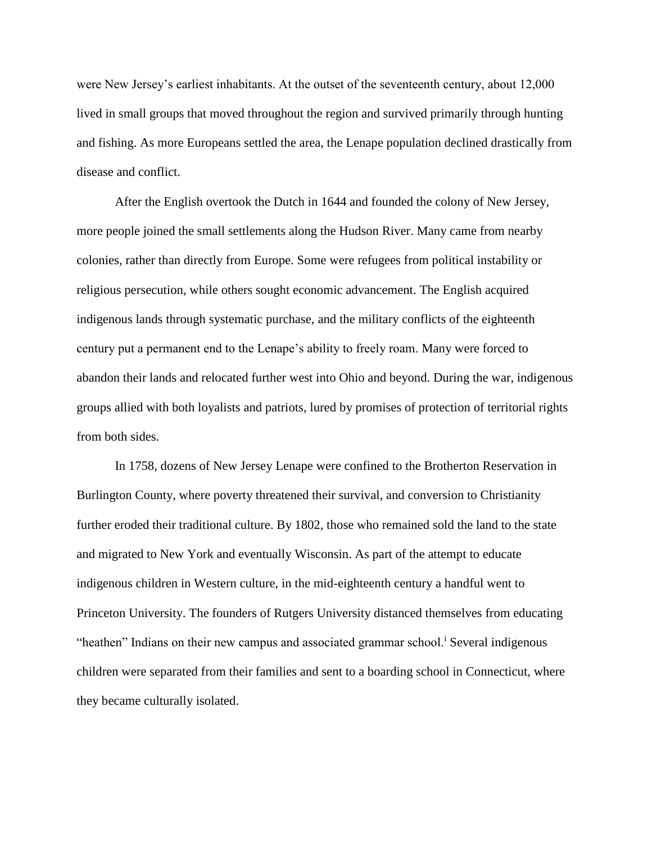were New Jersey's earliest inhabitants. At the outset of the seventeenth century, about 12,000 lived in small groups that moved throughout the region and survived primarily through hunting and fishing. As more Europeans settled the area, the Lenape population declined drastically from disease and conflict.

After the English overtook the Dutch in 1644 and founded the colony of New Jersey, more people joined the small settlements along the Hudson River. Many came from nearby colonies, rather than directly from Europe. Some were refugees from political instability or religious persecution, while others sought economic advancement. The English acquired indigenous lands through systematic purchase, and the military conflicts of the eighteenth century put a permanent end to the Lenape's ability to freely roam. Many were forced to abandon their lands and relocated further west into Ohio and beyond. During the war, indigenous groups allied with both loyalists and patriots, lured by promises of protection of territorial rights from both sides.

In 1758, dozens of New Jersey Lenape were confined to the Brotherton Reservation in Burlington County, where poverty threatened their survival, and conversion to Christianity further eroded their traditional culture. By 1802, those who remained sold the land to the state and migrated to New York and eventually Wisconsin. As part of the attempt to educate indigenous children in Western culture, in the mid-eighteenth century a handful went to Princeton University. The founders of Rutgers University distanced themselves from educating "heathen" Indians on their new campus and associated grammar school.<sup>1</sup> Several indigenous children were separated from their families and sent to a boarding school in Connecticut, where they became culturally isolated.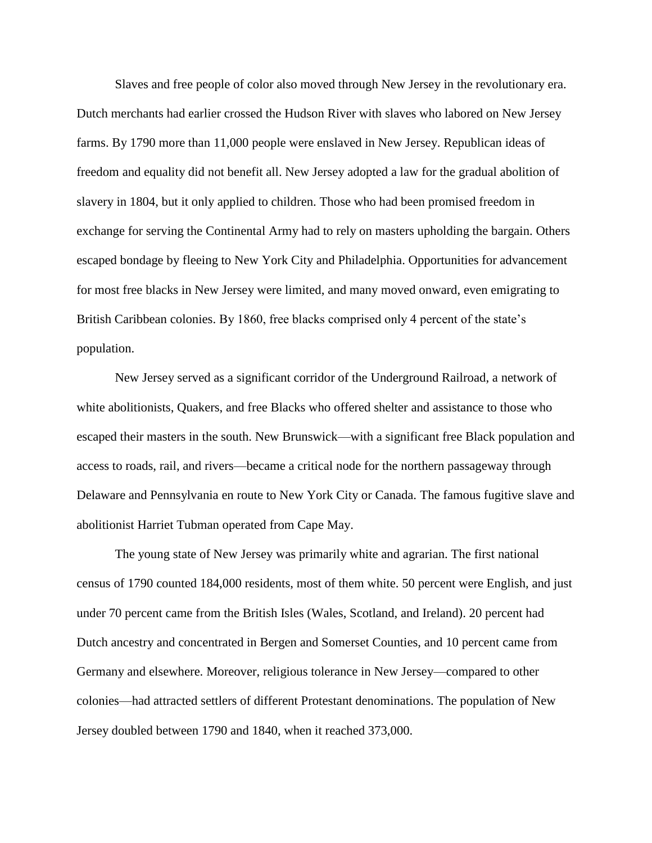Slaves and free people of color also moved through New Jersey in the revolutionary era. Dutch merchants had earlier crossed the Hudson River with slaves who labored on New Jersey farms. By 1790 more than 11,000 people were enslaved in New Jersey. Republican ideas of freedom and equality did not benefit all. New Jersey adopted a law for the gradual abolition of slavery in 1804, but it only applied to children. Those who had been promised freedom in exchange for serving the Continental Army had to rely on masters upholding the bargain. Others escaped bondage by fleeing to New York City and Philadelphia. Opportunities for advancement for most free blacks in New Jersey were limited, and many moved onward, even emigrating to British Caribbean colonies. By 1860, free blacks comprised only 4 percent of the state's population.

New Jersey served as a significant corridor of the Underground Railroad, a network of white abolitionists, Quakers, and free Blacks who offered shelter and assistance to those who escaped their masters in the south. New Brunswick—with a significant free Black population and access to roads, rail, and rivers—became a critical node for the northern passageway through Delaware and Pennsylvania en route to New York City or Canada. The famous fugitive slave and abolitionist Harriet Tubman operated from Cape May.

The young state of New Jersey was primarily white and agrarian. The first national census of 1790 counted 184,000 residents, most of them white. 50 percent were English, and just under 70 percent came from the British Isles (Wales, Scotland, and Ireland). 20 percent had Dutch ancestry and concentrated in Bergen and Somerset Counties, and 10 percent came from Germany and elsewhere. Moreover, religious tolerance in New Jersey—compared to other colonies—had attracted settlers of different Protestant denominations. The population of New Jersey doubled between 1790 and 1840, when it reached 373,000.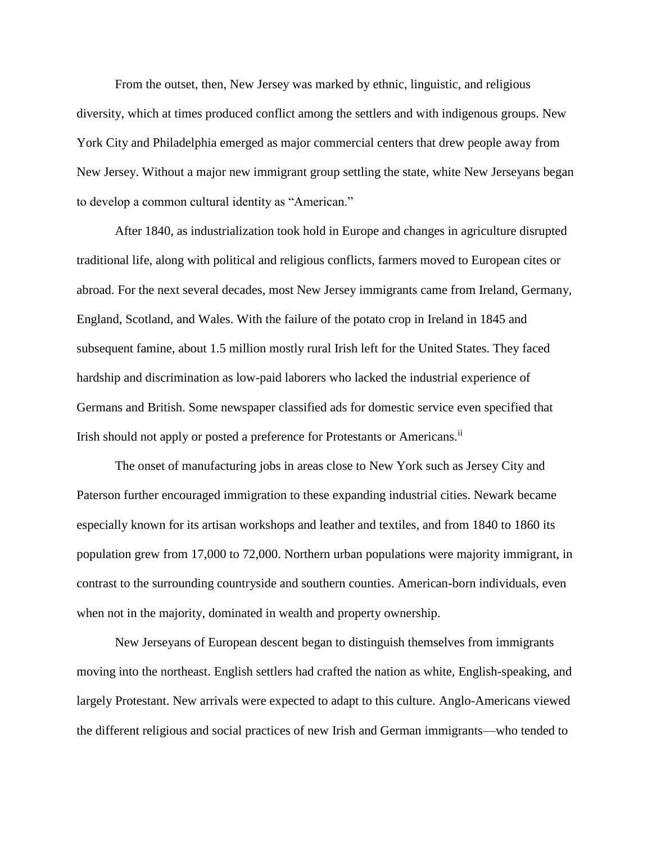From the outset, then, New Jersey was marked by ethnic, linguistic, and religious diversity, which at times produced conflict among the settlers and with indigenous groups. New York City and Philadelphia emerged as major commercial centers that drew people away from New Jersey. Without a major new immigrant group settling the state, white New Jerseyans began to develop a common cultural identity as "American."

After 1840, as industrialization took hold in Europe and changes in agriculture disrupted traditional life, along with political and religious conflicts, farmers moved to European cites or abroad. For the next several decades, most New Jersey immigrants came from Ireland, Germany, England, Scotland, and Wales. With the failure of the potato crop in Ireland in 1845 and subsequent famine, about 1.5 million mostly rural Irish left for the United States. They faced hardship and discrimination as low-paid laborers who lacked the industrial experience of Germans and British. Some newspaper classified ads for domestic service even specified that Irish should not apply or posted a preference for Protestants or Americans.<sup>ii</sup>

The onset of manufacturing jobs in areas close to New York such as Jersey City and Paterson further encouraged immigration to these expanding industrial cities. Newark became especially known for its artisan workshops and leather and textiles, and from 1840 to 1860 its population grew from 17,000 to 72,000. Northern urban populations were majority immigrant, in contrast to the surrounding countryside and southern counties. American-born individuals, even when not in the majority, dominated in wealth and property ownership.

New Jerseyans of European descent began to distinguish themselves from immigrants moving into the northeast. English settlers had crafted the nation as white, English-speaking, and largely Protestant. New arrivals were expected to adapt to this culture. Anglo-Americans viewed the different religious and social practices of new Irish and German immigrants—who tended to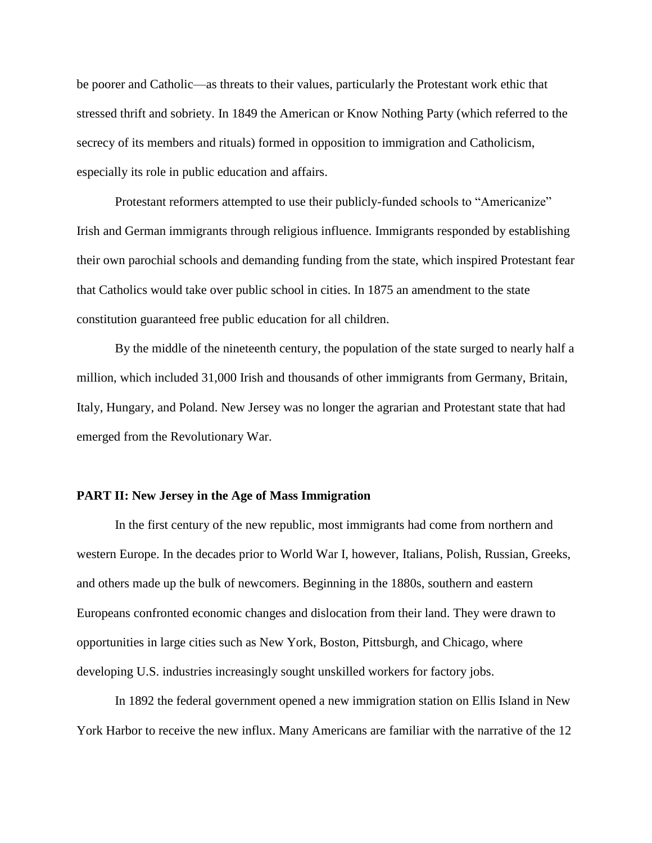be poorer and Catholic—as threats to their values, particularly the Protestant work ethic that stressed thrift and sobriety. In 1849 the American or Know Nothing Party (which referred to the secrecy of its members and rituals) formed in opposition to immigration and Catholicism, especially its role in public education and affairs.

Protestant reformers attempted to use their publicly-funded schools to "Americanize" Irish and German immigrants through religious influence. Immigrants responded by establishing their own parochial schools and demanding funding from the state, which inspired Protestant fear that Catholics would take over public school in cities. In 1875 an amendment to the state constitution guaranteed free public education for all children.

By the middle of the nineteenth century, the population of the state surged to nearly half a million, which included 31,000 Irish and thousands of other immigrants from Germany, Britain, Italy, Hungary, and Poland. New Jersey was no longer the agrarian and Protestant state that had emerged from the Revolutionary War.

# **PART II: New Jersey in the Age of Mass Immigration**

In the first century of the new republic, most immigrants had come from northern and western Europe. In the decades prior to World War I, however, Italians, Polish, Russian, Greeks, and others made up the bulk of newcomers. Beginning in the 1880s, southern and eastern Europeans confronted economic changes and dislocation from their land. They were drawn to opportunities in large cities such as New York, Boston, Pittsburgh, and Chicago, where developing U.S. industries increasingly sought unskilled workers for factory jobs.

In 1892 the federal government opened a new immigration station on Ellis Island in New York Harbor to receive the new influx. Many Americans are familiar with the narrative of the 12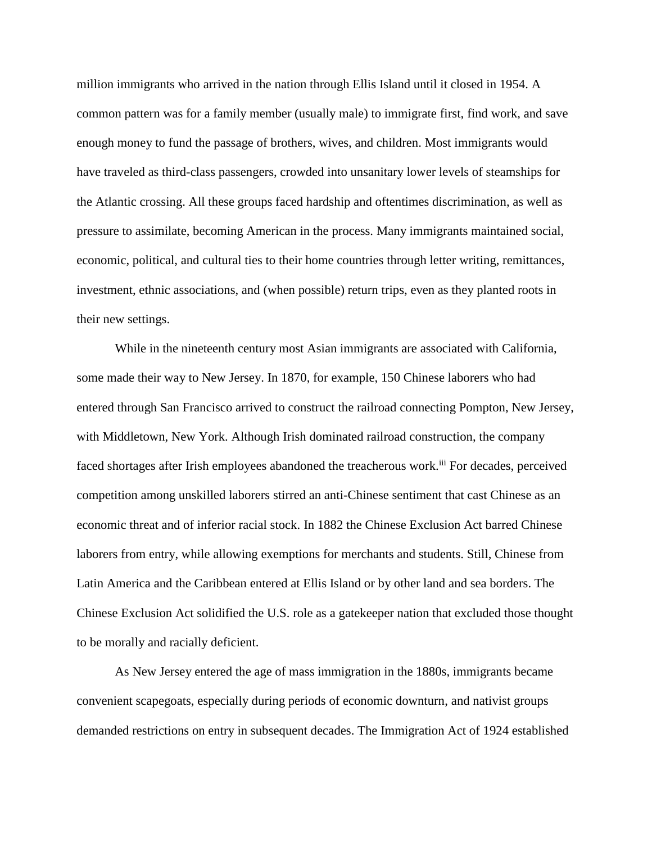million immigrants who arrived in the nation through Ellis Island until it closed in 1954. A common pattern was for a family member (usually male) to immigrate first, find work, and save enough money to fund the passage of brothers, wives, and children. Most immigrants would have traveled as third-class passengers, crowded into unsanitary lower levels of steamships for the Atlantic crossing. All these groups faced hardship and oftentimes discrimination, as well as pressure to assimilate, becoming American in the process. Many immigrants maintained social, economic, political, and cultural ties to their home countries through letter writing, remittances, investment, ethnic associations, and (when possible) return trips, even as they planted roots in their new settings.

While in the nineteenth century most Asian immigrants are associated with California, some made their way to New Jersey. In 1870, for example, 150 Chinese laborers who had entered through San Francisco arrived to construct the railroad connecting Pompton, New Jersey, with Middletown, New York. Although Irish dominated railroad construction, the company faced shortages after Irish employees abandoned the treacherous work.<sup>iii</sup> For decades, perceived competition among unskilled laborers stirred an anti-Chinese sentiment that cast Chinese as an economic threat and of inferior racial stock. In 1882 the Chinese Exclusion Act barred Chinese laborers from entry, while allowing exemptions for merchants and students. Still, Chinese from Latin America and the Caribbean entered at Ellis Island or by other land and sea borders. The Chinese Exclusion Act solidified the U.S. role as a gatekeeper nation that excluded those thought to be morally and racially deficient.

As New Jersey entered the age of mass immigration in the 1880s, immigrants became convenient scapegoats, especially during periods of economic downturn, and nativist groups demanded restrictions on entry in subsequent decades. The Immigration Act of 1924 established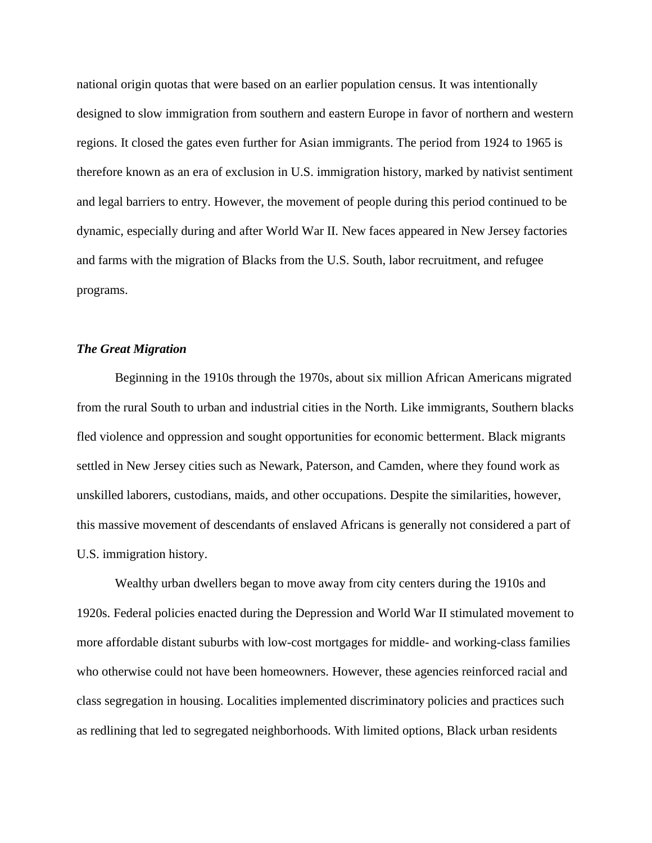national origin quotas that were based on an earlier population census. It was intentionally designed to slow immigration from southern and eastern Europe in favor of northern and western regions. It closed the gates even further for Asian immigrants. The period from 1924 to 1965 is therefore known as an era of exclusion in U.S. immigration history, marked by nativist sentiment and legal barriers to entry. However, the movement of people during this period continued to be dynamic, especially during and after World War II. New faces appeared in New Jersey factories and farms with the migration of Blacks from the U.S. South, labor recruitment, and refugee programs.

#### *The Great Migration*

Beginning in the 1910s through the 1970s, about six million African Americans migrated from the rural South to urban and industrial cities in the North. Like immigrants, Southern blacks fled violence and oppression and sought opportunities for economic betterment. Black migrants settled in New Jersey cities such as Newark, Paterson, and Camden, where they found work as unskilled laborers, custodians, maids, and other occupations. Despite the similarities, however, this massive movement of descendants of enslaved Africans is generally not considered a part of U.S. immigration history.

Wealthy urban dwellers began to move away from city centers during the 1910s and 1920s. Federal policies enacted during the Depression and World War II stimulated movement to more affordable distant suburbs with low-cost mortgages for middle- and working-class families who otherwise could not have been homeowners. However, these agencies reinforced racial and class segregation in housing. Localities implemented discriminatory policies and practices such as redlining that led to segregated neighborhoods. With limited options, Black urban residents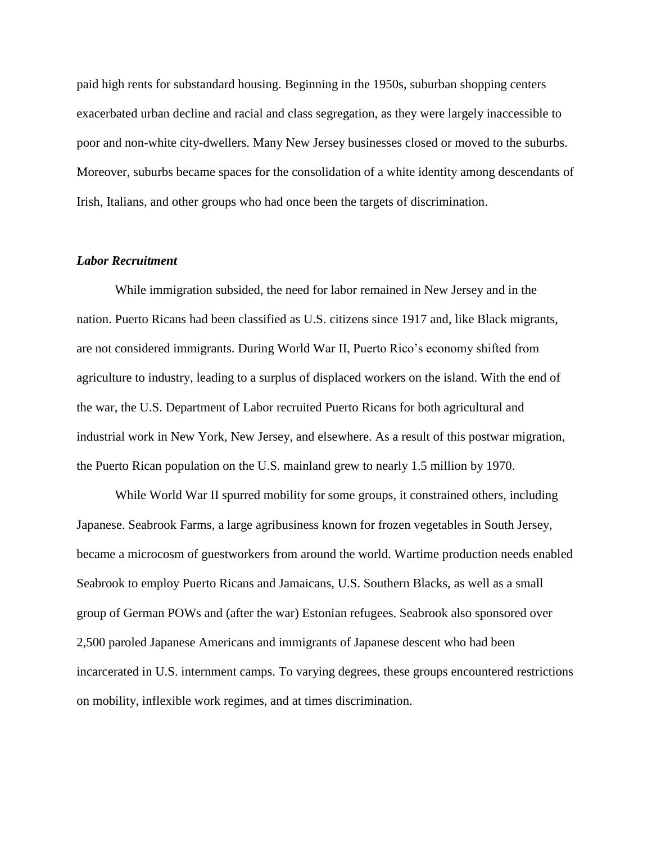paid high rents for substandard housing. Beginning in the 1950s, suburban shopping centers exacerbated urban decline and racial and class segregation, as they were largely inaccessible to poor and non-white city-dwellers. Many New Jersey businesses closed or moved to the suburbs. Moreover, suburbs became spaces for the consolidation of a white identity among descendants of Irish, Italians, and other groups who had once been the targets of discrimination.

# *Labor Recruitment*

While immigration subsided, the need for labor remained in New Jersey and in the nation. Puerto Ricans had been classified as U.S. citizens since 1917 and, like Black migrants, are not considered immigrants. During World War II, Puerto Rico's economy shifted from agriculture to industry, leading to a surplus of displaced workers on the island. With the end of the war, the U.S. Department of Labor recruited Puerto Ricans for both agricultural and industrial work in New York, New Jersey, and elsewhere. As a result of this postwar migration, the Puerto Rican population on the U.S. mainland grew to nearly 1.5 million by 1970.

While World War II spurred mobility for some groups, it constrained others, including Japanese. Seabrook Farms, a large agribusiness known for frozen vegetables in South Jersey, became a microcosm of guestworkers from around the world. Wartime production needs enabled Seabrook to employ Puerto Ricans and Jamaicans, U.S. Southern Blacks, as well as a small group of German POWs and (after the war) Estonian refugees. Seabrook also sponsored over 2,500 paroled Japanese Americans and immigrants of Japanese descent who had been incarcerated in U.S. internment camps. To varying degrees, these groups encountered restrictions on mobility, inflexible work regimes, and at times discrimination.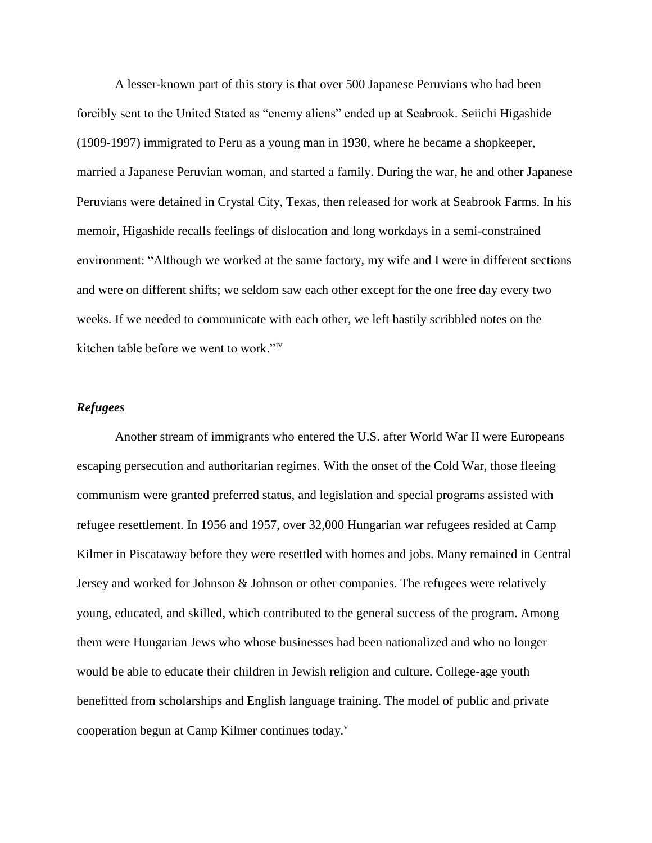A lesser-known part of this story is that over 500 Japanese Peruvians who had been forcibly sent to the United Stated as "enemy aliens" ended up at Seabrook. Seiichi Higashide (1909-1997) immigrated to Peru as a young man in 1930, where he became a shopkeeper, married a Japanese Peruvian woman, and started a family. During the war, he and other Japanese Peruvians were detained in Crystal City, Texas, then released for work at Seabrook Farms. In his memoir, Higashide recalls feelings of dislocation and long workdays in a semi-constrained environment: "Although we worked at the same factory, my wife and I were in different sections and were on different shifts; we seldom saw each other except for the one free day every two weeks. If we needed to communicate with each other, we left hastily scribbled notes on the kitchen table before we went to work."iv

## *Refugees*

Another stream of immigrants who entered the U.S. after World War II were Europeans escaping persecution and authoritarian regimes. With the onset of the Cold War, those fleeing communism were granted preferred status, and legislation and special programs assisted with refugee resettlement. In 1956 and 1957, over 32,000 Hungarian war refugees resided at Camp Kilmer in Piscataway before they were resettled with homes and jobs. Many remained in Central Jersey and worked for Johnson & Johnson or other companies. The refugees were relatively young, educated, and skilled, which contributed to the general success of the program. Among them were Hungarian Jews who whose businesses had been nationalized and who no longer would be able to educate their children in Jewish religion and culture. College-age youth benefitted from scholarships and English language training. The model of public and private cooperation begun at Camp Kilmer continues today.<sup>v</sup>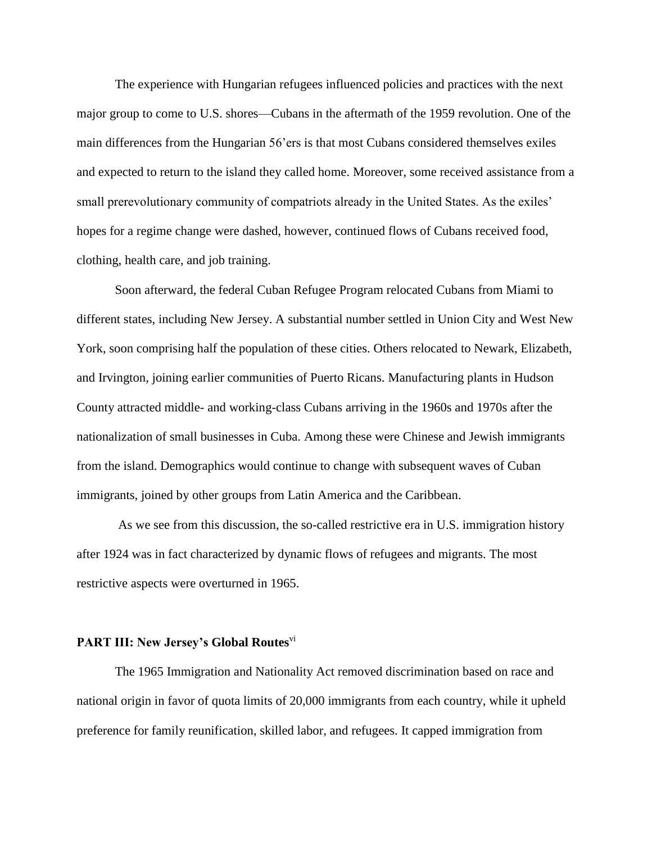The experience with Hungarian refugees influenced policies and practices with the next major group to come to U.S. shores—Cubans in the aftermath of the 1959 revolution. One of the main differences from the Hungarian 56'ers is that most Cubans considered themselves exiles and expected to return to the island they called home. Moreover, some received assistance from a small prerevolutionary community of compatriots already in the United States. As the exiles' hopes for a regime change were dashed, however, continued flows of Cubans received food, clothing, health care, and job training.

Soon afterward, the federal Cuban Refugee Program relocated Cubans from Miami to different states, including New Jersey. A substantial number settled in Union City and West New York, soon comprising half the population of these cities. Others relocated to Newark, Elizabeth, and Irvington, joining earlier communities of Puerto Ricans. Manufacturing plants in Hudson County attracted middle- and working-class Cubans arriving in the 1960s and 1970s after the nationalization of small businesses in Cuba. Among these were Chinese and Jewish immigrants from the island. Demographics would continue to change with subsequent waves of Cuban immigrants, joined by other groups from Latin America and the Caribbean.

As we see from this discussion, the so-called restrictive era in U.S. immigration history after 1924 was in fact characterized by dynamic flows of refugees and migrants. The most restrictive aspects were overturned in 1965.

# **PART III: New Jersey's Global Routes**<sup>vi</sup>

The 1965 Immigration and Nationality Act removed discrimination based on race and national origin in favor of quota limits of 20,000 immigrants from each country, while it upheld preference for family reunification, skilled labor, and refugees. It capped immigration from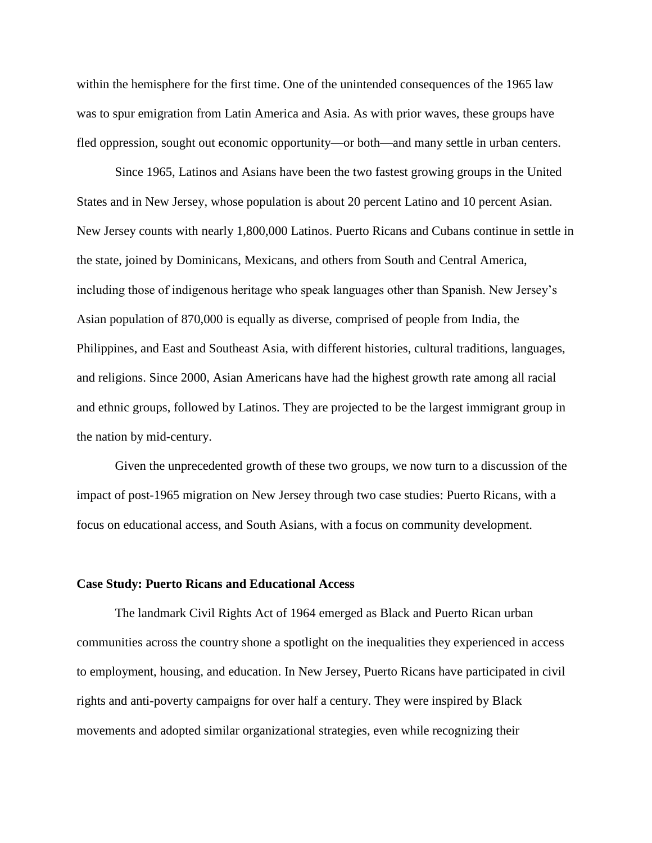within the hemisphere for the first time. One of the unintended consequences of the 1965 law was to spur emigration from Latin America and Asia. As with prior waves, these groups have fled oppression, sought out economic opportunity—or both—and many settle in urban centers.

Since 1965, Latinos and Asians have been the two fastest growing groups in the United States and in New Jersey, whose population is about 20 percent Latino and 10 percent Asian. New Jersey counts with nearly 1,800,000 Latinos. Puerto Ricans and Cubans continue in settle in the state, joined by Dominicans, Mexicans, and others from South and Central America, including those of indigenous heritage who speak languages other than Spanish. New Jersey's Asian population of 870,000 is equally as diverse, comprised of people from India, the Philippines, and East and Southeast Asia, with different histories, cultural traditions, languages, and religions. Since 2000, Asian Americans have had the highest growth rate among all racial and ethnic groups, followed by Latinos. They are projected to be the largest immigrant group in the nation by mid-century.

Given the unprecedented growth of these two groups, we now turn to a discussion of the impact of post-1965 migration on New Jersey through two case studies: Puerto Ricans, with a focus on educational access, and South Asians, with a focus on community development.

#### **Case Study: Puerto Ricans and Educational Access**

The landmark Civil Rights Act of 1964 emerged as Black and Puerto Rican urban communities across the country shone a spotlight on the inequalities they experienced in access to employment, housing, and education. In New Jersey, Puerto Ricans have participated in civil rights and anti-poverty campaigns for over half a century. They were inspired by Black movements and adopted similar organizational strategies, even while recognizing their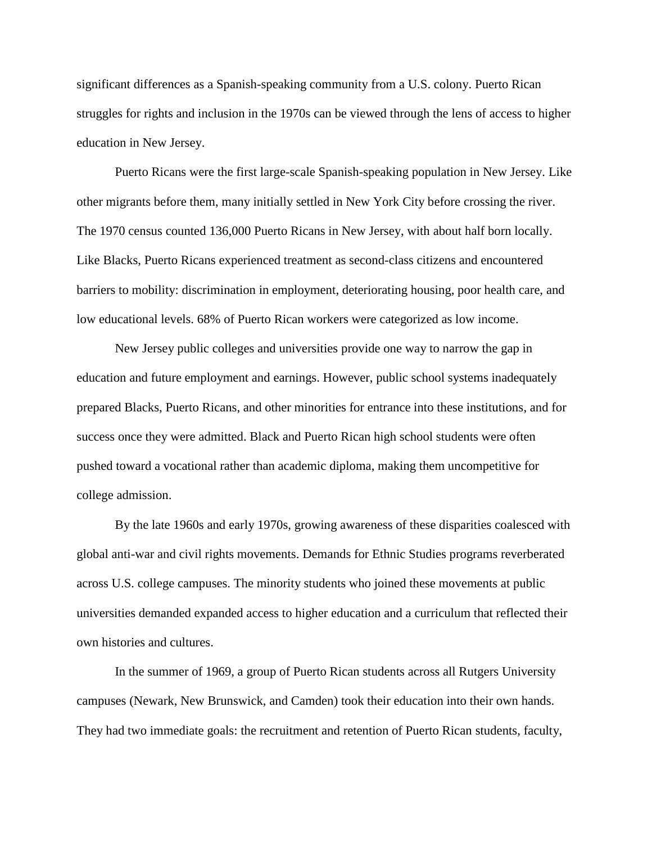significant differences as a Spanish-speaking community from a U.S. colony. Puerto Rican struggles for rights and inclusion in the 1970s can be viewed through the lens of access to higher education in New Jersey.

Puerto Ricans were the first large-scale Spanish-speaking population in New Jersey. Like other migrants before them, many initially settled in New York City before crossing the river. The 1970 census counted 136,000 Puerto Ricans in New Jersey, with about half born locally. Like Blacks, Puerto Ricans experienced treatment as second-class citizens and encountered barriers to mobility: discrimination in employment, deteriorating housing, poor health care, and low educational levels. 68% of Puerto Rican workers were categorized as low income.

New Jersey public colleges and universities provide one way to narrow the gap in education and future employment and earnings. However, public school systems inadequately prepared Blacks, Puerto Ricans, and other minorities for entrance into these institutions, and for success once they were admitted. Black and Puerto Rican high school students were often pushed toward a vocational rather than academic diploma, making them uncompetitive for college admission.

By the late 1960s and early 1970s, growing awareness of these disparities coalesced with global anti-war and civil rights movements. Demands for Ethnic Studies programs reverberated across U.S. college campuses. The minority students who joined these movements at public universities demanded expanded access to higher education and a curriculum that reflected their own histories and cultures.

In the summer of 1969, a group of Puerto Rican students across all Rutgers University campuses (Newark, New Brunswick, and Camden) took their education into their own hands. They had two immediate goals: the recruitment and retention of Puerto Rican students, faculty,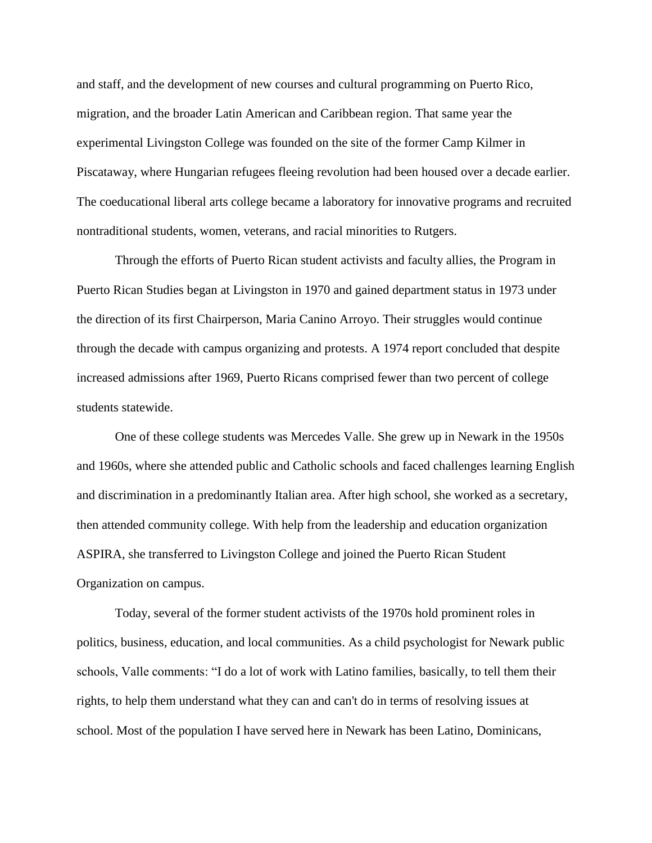and staff, and the development of new courses and cultural programming on Puerto Rico, migration, and the broader Latin American and Caribbean region. That same year the experimental Livingston College was founded on the site of the former Camp Kilmer in Piscataway, where Hungarian refugees fleeing revolution had been housed over a decade earlier. The coeducational liberal arts college became a laboratory for innovative programs and recruited nontraditional students, women, veterans, and racial minorities to Rutgers.

Through the efforts of Puerto Rican student activists and faculty allies, the Program in Puerto Rican Studies began at Livingston in 1970 and gained department status in 1973 under the direction of its first Chairperson, Maria Canino Arroyo. Their struggles would continue through the decade with campus organizing and protests. A 1974 report concluded that despite increased admissions after 1969, Puerto Ricans comprised fewer than two percent of college students statewide.

One of these college students was Mercedes Valle. She grew up in Newark in the 1950s and 1960s, where she attended public and Catholic schools and faced challenges learning English and discrimination in a predominantly Italian area. After high school, she worked as a secretary, then attended community college. With help from the leadership and education organization ASPIRA, she transferred to Livingston College and joined the Puerto Rican Student Organization on campus.

Today, several of the former student activists of the 1970s hold prominent roles in politics, business, education, and local communities. As a child psychologist for Newark public schools, Valle comments: "I do a lot of work with Latino families, basically, to tell them their rights, to help them understand what they can and can't do in terms of resolving issues at school. Most of the population I have served here in Newark has been Latino, Dominicans,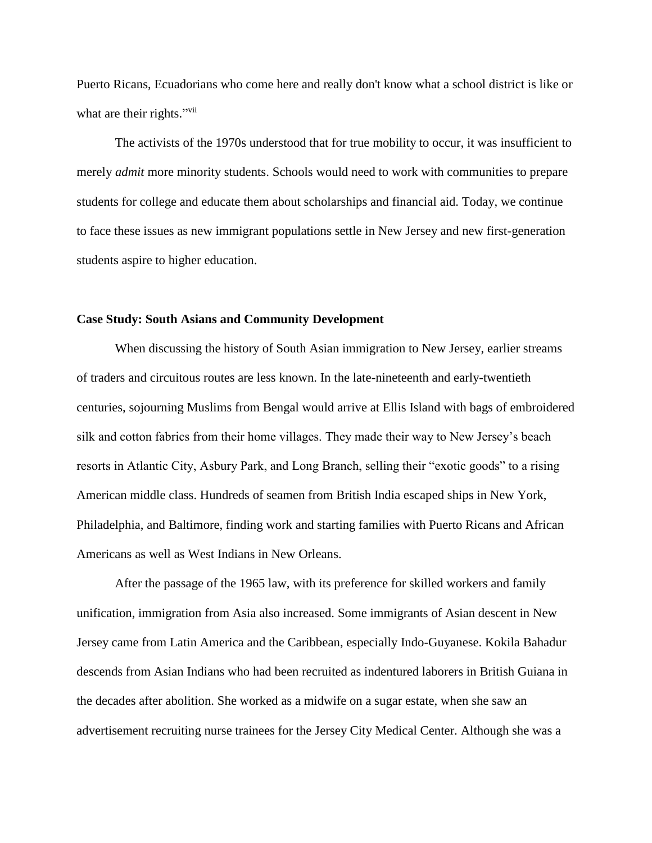Puerto Ricans, Ecuadorians who come here and really don't know what a school district is like or what are their rights."<sup>vii</sup>

The activists of the 1970s understood that for true mobility to occur, it was insufficient to merely *admit* more minority students. Schools would need to work with communities to prepare students for college and educate them about scholarships and financial aid. Today, we continue to face these issues as new immigrant populations settle in New Jersey and new first-generation students aspire to higher education.

#### **Case Study: South Asians and Community Development**

When discussing the history of South Asian immigration to New Jersey, earlier streams of traders and circuitous routes are less known. In the late-nineteenth and early-twentieth centuries, sojourning Muslims from Bengal would arrive at Ellis Island with bags of embroidered silk and cotton fabrics from their home villages. They made their way to New Jersey's beach resorts in Atlantic City, Asbury Park, and Long Branch, selling their "exotic goods" to a rising American middle class. Hundreds of seamen from British India escaped ships in New York, Philadelphia, and Baltimore, finding work and starting families with Puerto Ricans and African Americans as well as West Indians in New Orleans.

After the passage of the 1965 law, with its preference for skilled workers and family unification, immigration from Asia also increased. Some immigrants of Asian descent in New Jersey came from Latin America and the Caribbean, especially Indo-Guyanese. Kokila Bahadur descends from Asian Indians who had been recruited as indentured laborers in British Guiana in the decades after abolition. She worked as a midwife on a sugar estate, when she saw an advertisement recruiting nurse trainees for the Jersey City Medical Center. Although she was a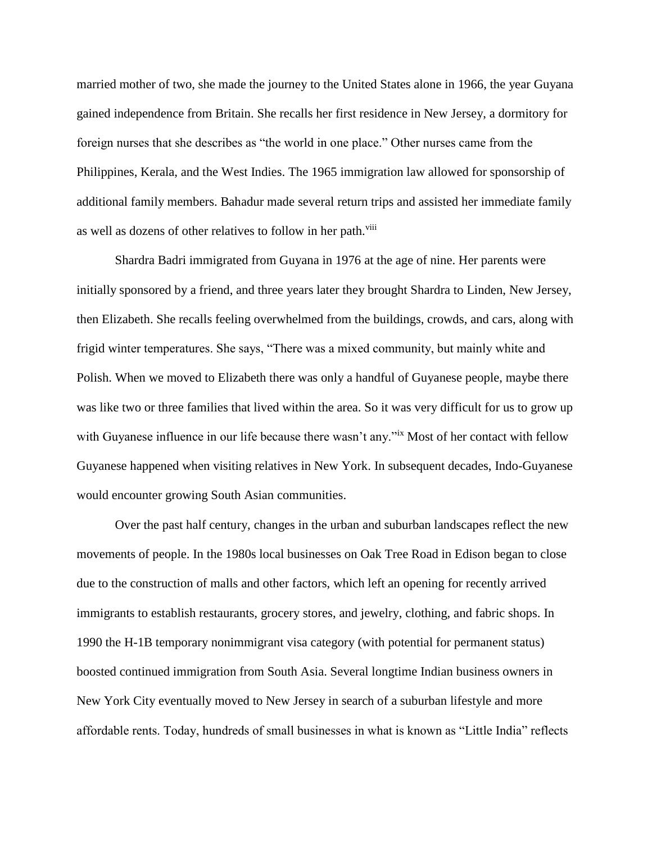married mother of two, she made the journey to the United States alone in 1966, the year Guyana gained independence from Britain. She recalls her first residence in New Jersey, a dormitory for foreign nurses that she describes as "the world in one place." Other nurses came from the Philippines, Kerala, and the West Indies. The 1965 immigration law allowed for sponsorship of additional family members. Bahadur made several return trips and assisted her immediate family as well as dozens of other relatives to follow in her path.<sup>viii</sup>

Shardra Badri immigrated from Guyana in 1976 at the age of nine. Her parents were initially sponsored by a friend, and three years later they brought Shardra to Linden, New Jersey, then Elizabeth. She recalls feeling overwhelmed from the buildings, crowds, and cars, along with frigid winter temperatures. She says, "There was a mixed community, but mainly white and Polish. When we moved to Elizabeth there was only a handful of Guyanese people, maybe there was like two or three families that lived within the area. So it was very difficult for us to grow up with Guyanese influence in our life because there wasn't any."<sup>ix</sup> Most of her contact with fellow Guyanese happened when visiting relatives in New York. In subsequent decades, Indo-Guyanese would encounter growing South Asian communities.

Over the past half century, changes in the urban and suburban landscapes reflect the new movements of people. In the 1980s local businesses on Oak Tree Road in Edison began to close due to the construction of malls and other factors, which left an opening for recently arrived immigrants to establish restaurants, grocery stores, and jewelry, clothing, and fabric shops. In 1990 the H-1B temporary nonimmigrant visa category (with potential for permanent status) boosted continued immigration from South Asia. Several longtime Indian business owners in New York City eventually moved to New Jersey in search of a suburban lifestyle and more affordable rents. Today, hundreds of small businesses in what is known as "Little India" reflects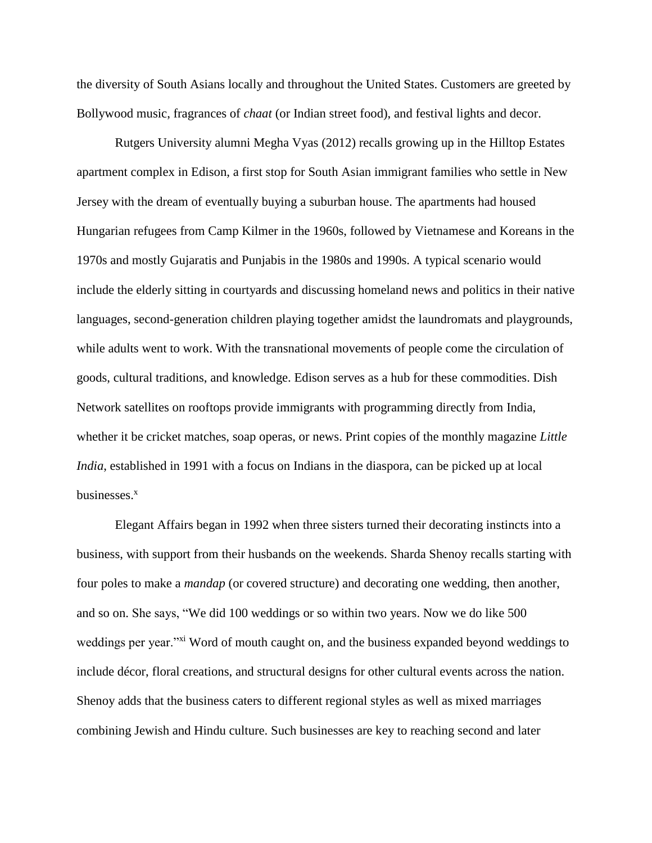the diversity of South Asians locally and throughout the United States. Customers are greeted by Bollywood music, fragrances of *chaat* (or Indian street food), and festival lights and decor.

Rutgers University alumni Megha Vyas (2012) recalls growing up in the Hilltop Estates apartment complex in Edison, a first stop for South Asian immigrant families who settle in New Jersey with the dream of eventually buying a suburban house. The apartments had housed Hungarian refugees from Camp Kilmer in the 1960s, followed by Vietnamese and Koreans in the 1970s and mostly Gujaratis and Punjabis in the 1980s and 1990s. A typical scenario would include the elderly sitting in courtyards and discussing homeland news and politics in their native languages, second-generation children playing together amidst the laundromats and playgrounds, while adults went to work. With the transnational movements of people come the circulation of goods, cultural traditions, and knowledge. Edison serves as a hub for these commodities. Dish Network satellites on rooftops provide immigrants with programming directly from India, whether it be cricket matches, soap operas, or news. Print copies of the monthly magazine *Little India*, established in 1991 with a focus on Indians in the diaspora, can be picked up at local businesses. $x$ 

Elegant Affairs began in 1992 when three sisters turned their decorating instincts into a business, with support from their husbands on the weekends. Sharda Shenoy recalls starting with four poles to make a *mandap* (or covered structure) and decorating one wedding, then another, and so on. She says, "We did 100 weddings or so within two years. Now we do like 500 weddings per year."<sup>xi</sup> Word of mouth caught on, and the business expanded beyond weddings to include décor, floral creations, and structural designs for other cultural events across the nation. Shenoy adds that the business caters to different regional styles as well as mixed marriages combining Jewish and Hindu culture. Such businesses are key to reaching second and later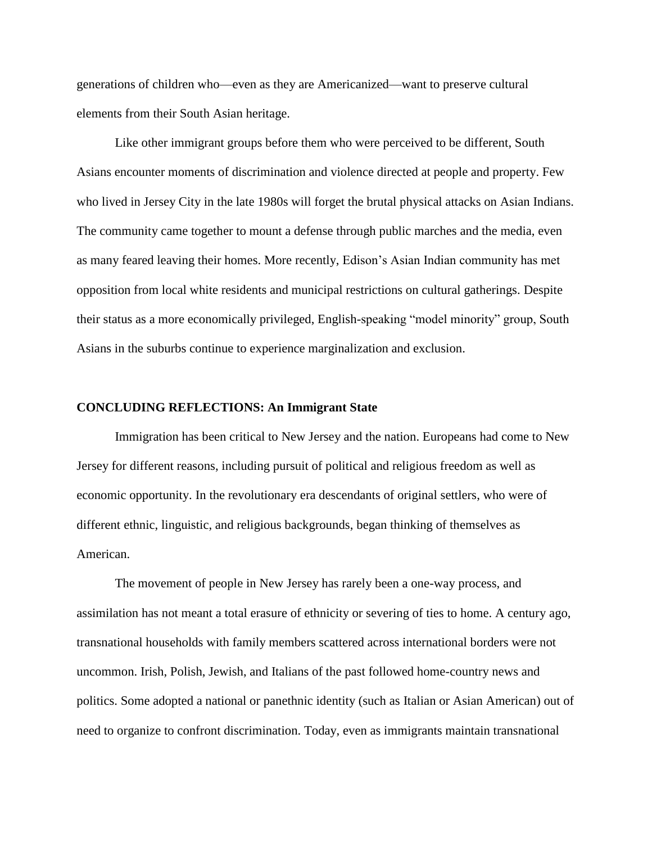generations of children who—even as they are Americanized—want to preserve cultural elements from their South Asian heritage.

Like other immigrant groups before them who were perceived to be different, South Asians encounter moments of discrimination and violence directed at people and property. Few who lived in Jersey City in the late 1980s will forget the brutal physical attacks on Asian Indians. The community came together to mount a defense through public marches and the media, even as many feared leaving their homes. More recently, Edison's Asian Indian community has met opposition from local white residents and municipal restrictions on cultural gatherings. Despite their status as a more economically privileged, English-speaking "model minority" group, South Asians in the suburbs continue to experience marginalization and exclusion.

### **CONCLUDING REFLECTIONS: An Immigrant State**

Immigration has been critical to New Jersey and the nation. Europeans had come to New Jersey for different reasons, including pursuit of political and religious freedom as well as economic opportunity. In the revolutionary era descendants of original settlers, who were of different ethnic, linguistic, and religious backgrounds, began thinking of themselves as American.

The movement of people in New Jersey has rarely been a one-way process, and assimilation has not meant a total erasure of ethnicity or severing of ties to home. A century ago, transnational households with family members scattered across international borders were not uncommon. Irish, Polish, Jewish, and Italians of the past followed home-country news and politics. Some adopted a national or panethnic identity (such as Italian or Asian American) out of need to organize to confront discrimination. Today, even as immigrants maintain transnational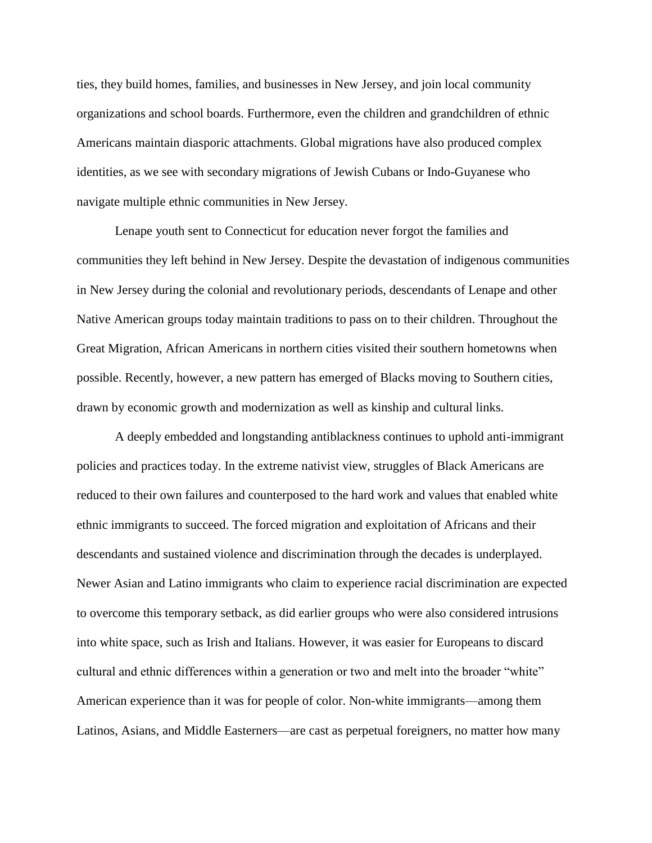ties, they build homes, families, and businesses in New Jersey, and join local community organizations and school boards. Furthermore, even the children and grandchildren of ethnic Americans maintain diasporic attachments. Global migrations have also produced complex identities, as we see with secondary migrations of Jewish Cubans or Indo-Guyanese who navigate multiple ethnic communities in New Jersey.

Lenape youth sent to Connecticut for education never forgot the families and communities they left behind in New Jersey. Despite the devastation of indigenous communities in New Jersey during the colonial and revolutionary periods, descendants of Lenape and other Native American groups today maintain traditions to pass on to their children. Throughout the Great Migration, African Americans in northern cities visited their southern hometowns when possible. Recently, however, a new pattern has emerged of Blacks moving to Southern cities, drawn by economic growth and modernization as well as kinship and cultural links.

A deeply embedded and longstanding antiblackness continues to uphold anti-immigrant policies and practices today. In the extreme nativist view, struggles of Black Americans are reduced to their own failures and counterposed to the hard work and values that enabled white ethnic immigrants to succeed. The forced migration and exploitation of Africans and their descendants and sustained violence and discrimination through the decades is underplayed. Newer Asian and Latino immigrants who claim to experience racial discrimination are expected to overcome this temporary setback, as did earlier groups who were also considered intrusions into white space, such as Irish and Italians. However, it was easier for Europeans to discard cultural and ethnic differences within a generation or two and melt into the broader "white" American experience than it was for people of color. Non-white immigrants—among them Latinos, Asians, and Middle Easterners—are cast as perpetual foreigners, no matter how many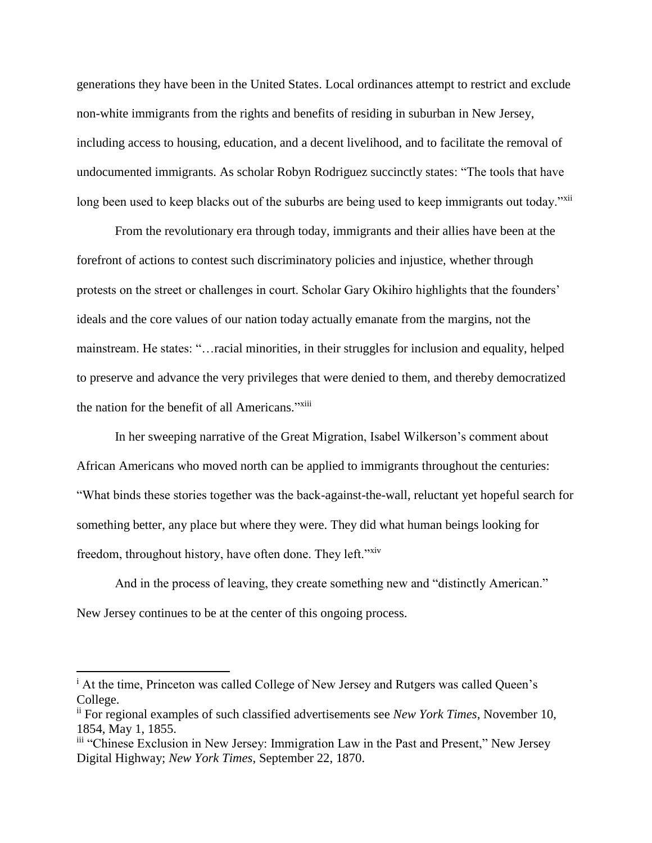generations they have been in the United States. Local ordinances attempt to restrict and exclude non-white immigrants from the rights and benefits of residing in suburban in New Jersey, including access to housing, education, and a decent livelihood, and to facilitate the removal of undocumented immigrants. As scholar Robyn Rodriguez succinctly states: "The tools that have long been used to keep blacks out of the suburbs are being used to keep immigrants out today."<sup>xii</sup>

From the revolutionary era through today, immigrants and their allies have been at the forefront of actions to contest such discriminatory policies and injustice, whether through protests on the street or challenges in court. Scholar Gary Okihiro highlights that the founders' ideals and the core values of our nation today actually emanate from the margins, not the mainstream. He states: "…racial minorities, in their struggles for inclusion and equality, helped to preserve and advance the very privileges that were denied to them, and thereby democratized the nation for the benefit of all Americans."<sup>xiii</sup>

In her sweeping narrative of the Great Migration, Isabel Wilkerson's comment about African Americans who moved north can be applied to immigrants throughout the centuries: "What binds these stories together was the back-against-the-wall, reluctant yet hopeful search for something better, any place but where they were. They did what human beings looking for freedom, throughout history, have often done. They left."<sup>xiv</sup>

And in the process of leaving, they create something new and "distinctly American." New Jersey continues to be at the center of this ongoing process.

l

<sup>&</sup>lt;sup>i</sup> At the time, Princeton was called College of New Jersey and Rutgers was called Queen's College.

ii For regional examples of such classified advertisements see *New York Times*, November 10, 1854, May 1, 1855.

iii "Chinese Exclusion in New Jersey: Immigration Law in the Past and Present," New Jersey Digital Highway; *New York Times*, September 22, 1870.